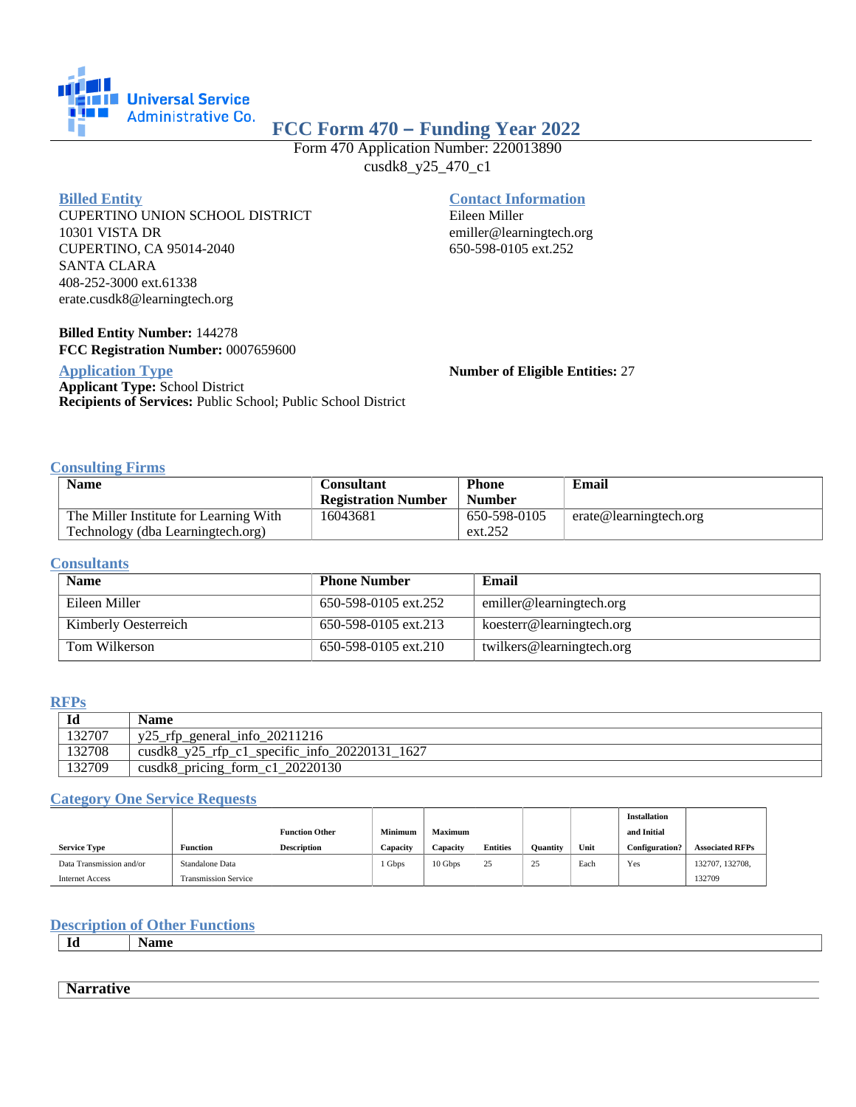

# **FCC Form 470 – Funding Year 2022**

Form 470 Application Number: 220013890 cusdk8\_y25\_470\_c1

#### **Billed Entity**

CUPERTINO UNION SCHOOL DISTRICT 10301 VISTA DR CUPERTINO, CA 95014-2040 SANTA CLARA 408-252-3000 ext.61338 erate.cusdk8@learningtech.org

## **Billed Entity Number:** 144278 **FCC Registration Number:** 0007659600

## **Application Type**

**Applicant Type:** School District **Recipients of Services:** Public School; Public School District

## **Contact Information**

Eileen Miller emiller@learningtech.org 650-598-0105 ext.252

**Number of Eligible Entities:** 27

## **Consulting Firms**

| <b>Name</b>                            | Consultant                 | <b>Phone</b>  | Email                   |
|----------------------------------------|----------------------------|---------------|-------------------------|
|                                        | <b>Registration Number</b> | <b>Number</b> |                         |
| The Miller Institute for Learning With | 16043681                   | 650-598-0105  | erate@learningtechn.org |
| Technology (dba Learningtech.org)      |                            | ext.252       |                         |

#### **Consultants**

| <b>Name</b>          | <b>Phone Number</b>  | Email                     |
|----------------------|----------------------|---------------------------|
| Eileen Miller        | 650-598-0105 ext.252 | emiller@learningtech.org  |
| Kimberly Oesterreich | 650-598-0105 ext.213 | koesterr@learningtech.org |
| Tom Wilkerson        | 650-598-0105 ext.210 | twilkers@learningtech.org |

## **RFPs**

| Id     | Name                                                       |
|--------|------------------------------------------------------------|
| 132707 | y25_rfp_general_info_20211216                              |
| 132708 | $\text{cusdk8_y25\_rfp_c1\_specific\_info_20220131\_1627}$ |
| 132709 | cusdk8_pricing_form_c1_20220130                            |

## **Category One Service Requests**

|                          |                             |                       |          |                |                 |          |      | <b>Installation</b>   |                        |
|--------------------------|-----------------------------|-----------------------|----------|----------------|-----------------|----------|------|-----------------------|------------------------|
|                          |                             | <b>Function Other</b> | Minimum  | <b>Maximum</b> |                 |          |      | and Initial           |                        |
| <b>Service Type</b>      | <b>Function</b>             | <b>Description</b>    | Capacity | Capacity       | <b>Entities</b> | Ouantity | Unit | <b>Configuration?</b> | <b>Associated RFPs</b> |
| Data Transmission and/or | Standalone Data             |                       | Gbps     | 10 Gbps        | 25              | 25       | Each | Yes                   | 132707, 132708,        |
| <b>Internet Access</b>   | <b>Transmission Service</b> |                       |          |                |                 |          |      |                       | 132709                 |

## **Description of Other Functions**

**Id Name**

**Narrative**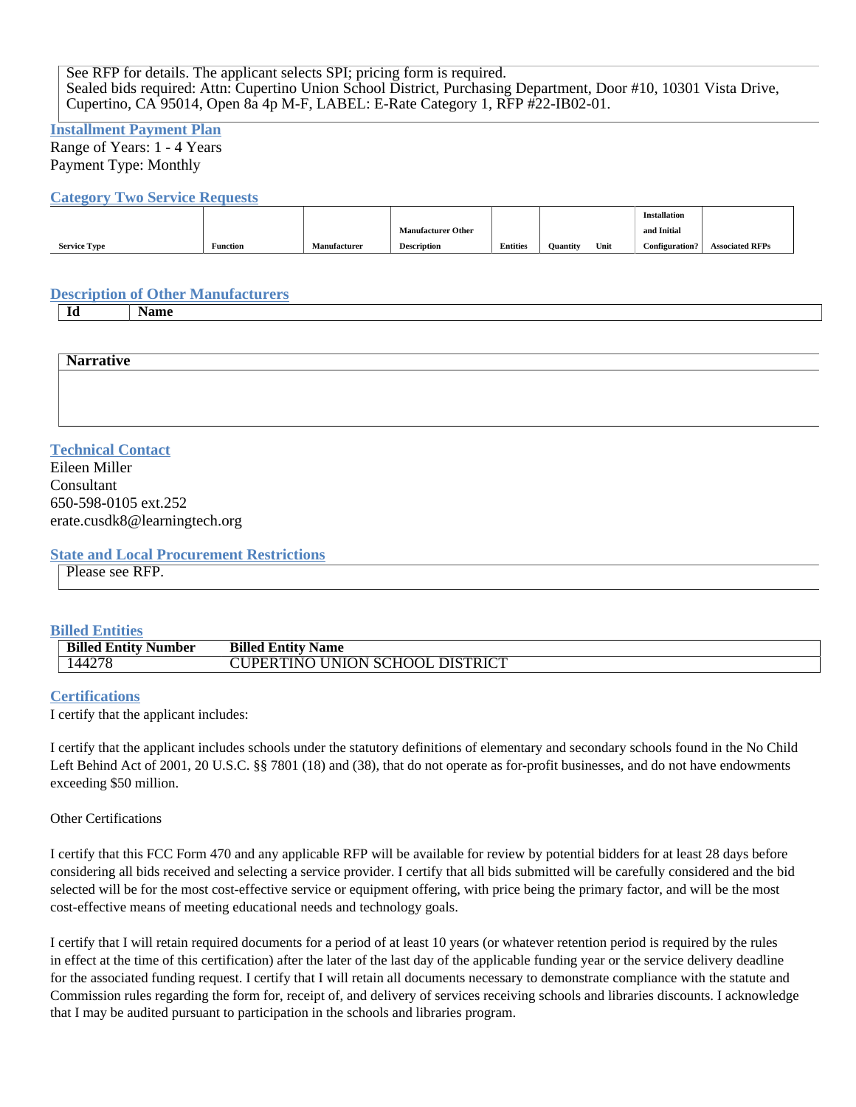See RFP for details. The applicant selects SPI; pricing form is required. Sealed bids required: Attn: Cupertino Union School District, Purchasing Department, Door #10, 10301 Vista Drive, Cupertino, CA 95014, Open 8a 4p M-F, LABEL: E-Rate Category 1, RFP #22-IB02-01.

#### **Installment Payment Plan**

Range of Years: 1 - 4 Years Payment Type: Monthly

#### **Category Two Service Requests**

|                     |                 |              |                           |                 |                 |      | <b>Installation</b> |                        |
|---------------------|-----------------|--------------|---------------------------|-----------------|-----------------|------|---------------------|------------------------|
|                     |                 |              | <b>Manufacturer Other</b> |                 |                 |      | and Initial         |                        |
| <b>Service Type</b> | <b>Function</b> | Manufacturer | <b>Description</b>        | <b>Entities</b> | <b>Quantity</b> | Unit | Configuration?      | <b>Associated RFPs</b> |

## **Description of Other Manufacturers**

**Id Name**

| $\mathbf{v}$<br><b>Narrative</b> |  |  |  |
|----------------------------------|--|--|--|
|                                  |  |  |  |
|                                  |  |  |  |
|                                  |  |  |  |

## **Technical Contact**

Eileen Miller Consultant 650-598-0105 ext.252 erate.cusdk8@learningtech.org

## **State and Local Procurement Restrictions**

Please see RFP.

## **Billed Entities**

| <b>Billed Entity Number</b> | <b>Billed Entity Name</b>              |
|-----------------------------|----------------------------------------|
| 144278                      | <b>CUPERTINO UNION SCHOOL DISTRICT</b> |

## **Certifications**

I certify that the applicant includes:

I certify that the applicant includes schools under the statutory definitions of elementary and secondary schools found in the No Child Left Behind Act of 2001, 20 U.S.C. §§ 7801 (18) and (38), that do not operate as for-profit businesses, and do not have endowments exceeding \$50 million.

## Other Certifications

I certify that this FCC Form 470 and any applicable RFP will be available for review by potential bidders for at least 28 days before considering all bids received and selecting a service provider. I certify that all bids submitted will be carefully considered and the bid selected will be for the most cost-effective service or equipment offering, with price being the primary factor, and will be the most cost-effective means of meeting educational needs and technology goals.

I certify that I will retain required documents for a period of at least 10 years (or whatever retention period is required by the rules in effect at the time of this certification) after the later of the last day of the applicable funding year or the service delivery deadline for the associated funding request. I certify that I will retain all documents necessary to demonstrate compliance with the statute and Commission rules regarding the form for, receipt of, and delivery of services receiving schools and libraries discounts. I acknowledge that I may be audited pursuant to participation in the schools and libraries program.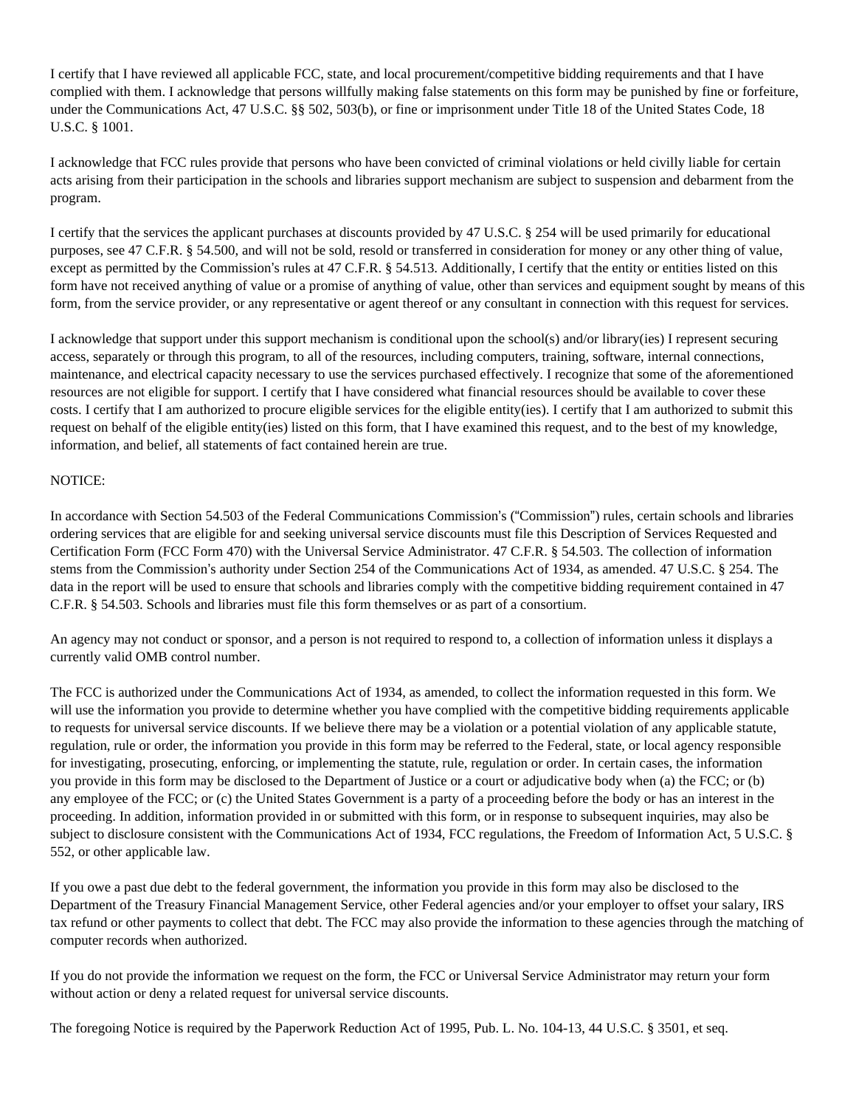I certify that I have reviewed all applicable FCC, state, and local procurement/competitive bidding requirements and that I have complied with them. I acknowledge that persons willfully making false statements on this form may be punished by fine or forfeiture, under the Communications Act, 47 U.S.C. §§ 502, 503(b), or fine or imprisonment under Title 18 of the United States Code, 18 U.S.C. § 1001.

I acknowledge that FCC rules provide that persons who have been convicted of criminal violations or held civilly liable for certain acts arising from their participation in the schools and libraries support mechanism are subject to suspension and debarment from the program.

I certify that the services the applicant purchases at discounts provided by 47 U.S.C. § 254 will be used primarily for educational purposes, see 47 C.F.R. § 54.500, and will not be sold, resold or transferred in consideration for money or any other thing of value, except as permitted by the Commission's rules at 47 C.F.R. § 54.513. Additionally, I certify that the entity or entities listed on this form have not received anything of value or a promise of anything of value, other than services and equipment sought by means of this form, from the service provider, or any representative or agent thereof or any consultant in connection with this request for services.

I acknowledge that support under this support mechanism is conditional upon the school(s) and/or library(ies) I represent securing access, separately or through this program, to all of the resources, including computers, training, software, internal connections, maintenance, and electrical capacity necessary to use the services purchased effectively. I recognize that some of the aforementioned resources are not eligible for support. I certify that I have considered what financial resources should be available to cover these costs. I certify that I am authorized to procure eligible services for the eligible entity(ies). I certify that I am authorized to submit this request on behalf of the eligible entity(ies) listed on this form, that I have examined this request, and to the best of my knowledge, information, and belief, all statements of fact contained herein are true.

## NOTICE:

In accordance with Section 54.503 of the Federal Communications Commission's ("Commission") rules, certain schools and libraries ordering services that are eligible for and seeking universal service discounts must file this Description of Services Requested and Certification Form (FCC Form 470) with the Universal Service Administrator. 47 C.F.R. § 54.503. The collection of information stems from the Commission's authority under Section 254 of the Communications Act of 1934, as amended. 47 U.S.C. § 254. The data in the report will be used to ensure that schools and libraries comply with the competitive bidding requirement contained in 47 C.F.R. § 54.503. Schools and libraries must file this form themselves or as part of a consortium.

An agency may not conduct or sponsor, and a person is not required to respond to, a collection of information unless it displays a currently valid OMB control number.

The FCC is authorized under the Communications Act of 1934, as amended, to collect the information requested in this form. We will use the information you provide to determine whether you have complied with the competitive bidding requirements applicable to requests for universal service discounts. If we believe there may be a violation or a potential violation of any applicable statute, regulation, rule or order, the information you provide in this form may be referred to the Federal, state, or local agency responsible for investigating, prosecuting, enforcing, or implementing the statute, rule, regulation or order. In certain cases, the information you provide in this form may be disclosed to the Department of Justice or a court or adjudicative body when (a) the FCC; or (b) any employee of the FCC; or (c) the United States Government is a party of a proceeding before the body or has an interest in the proceeding. In addition, information provided in or submitted with this form, or in response to subsequent inquiries, may also be subject to disclosure consistent with the Communications Act of 1934, FCC regulations, the Freedom of Information Act, 5 U.S.C. § 552, or other applicable law.

If you owe a past due debt to the federal government, the information you provide in this form may also be disclosed to the Department of the Treasury Financial Management Service, other Federal agencies and/or your employer to offset your salary, IRS tax refund or other payments to collect that debt. The FCC may also provide the information to these agencies through the matching of computer records when authorized.

If you do not provide the information we request on the form, the FCC or Universal Service Administrator may return your form without action or deny a related request for universal service discounts.

The foregoing Notice is required by the Paperwork Reduction Act of 1995, Pub. L. No. 104-13, 44 U.S.C. § 3501, et seq.